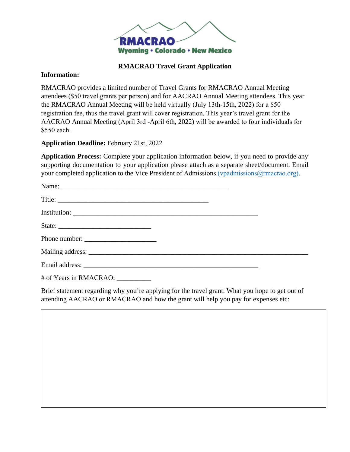

## **RMACRAO Travel Grant Application**

## **Information:**

RMACRAO provides a limited number of Travel Grants for RMACRAO Annual Meeting attendees (\$50 travel grants per person) and for AACRAO Annual Meeting attendees. This year the RMACRAO Annual Meeting will be held virtually (July 13th-15th, 2022) for a \$50 registration fee, thus the travel grant will cover registration. This year's travel grant for the AACRAO Annual Meeting (April 3rd -April 6th, 2022) will be awarded to four individuals for \$550 each.

**Application Deadline:** February 21st, 2022

**Application Process:** Complete your application information below, if you need to provide any supporting documentation to your application please attach as a separate sheet/document. Email your completed application to the Vice President of Admissions (vpadmissions @rmacrao.org).

| State:                 |  |  |
|------------------------|--|--|
|                        |  |  |
|                        |  |  |
|                        |  |  |
| # of Years in RMACRAO: |  |  |

Brief statement regarding why you're applying for the travel grant. What you hope to get out of attending AACRAO or RMACRAO and how the grant will help you pay for expenses etc: